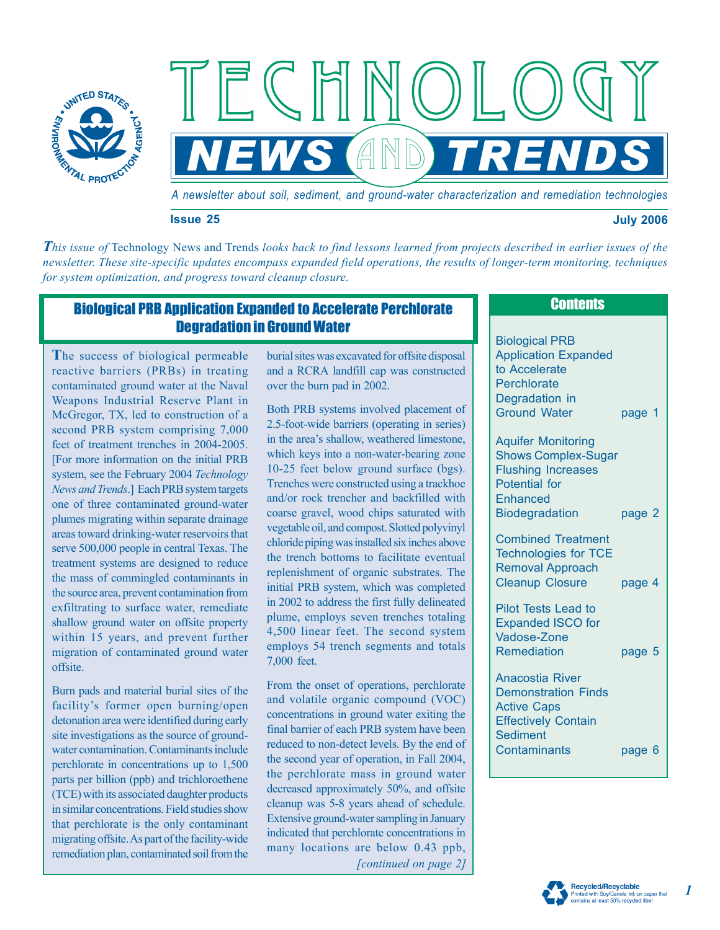

*A newsletter about soil, sediment, and ground-water characterization and remediation technologies*

**NEWS AND TRENDS** 

**Issue 25 July 2006** 

*This issue of* Technology News and Trends *looks back to find lessons learned from projects described in earlier issues of the newsletter. These site-specific updates encompass expanded field operations, the results of longer-term monitoring, techniques for system optimization, and progress toward cleanup closure.* 

# Biological PRB Application Expanded to Accelerate Perchlorate Degradation in Ground Water

**T**he success of biological permeable reactive barriers (PRBs) in treating contaminated ground water at the Naval Weapons Industrial Reserve Plant in McGregor, TX, led to construction of a second PRB system comprising 7,000 feet of treatment trenches in 2004-2005. [For more information on the initial PRB system, see the February 2004 *Technology News and Trends*.] Each PRB system targets one of three contaminated ground-water plumes migrating within separate drainage areas toward drinking-water reservoirs that serve 500,000 people in central Texas. The treatment systems are designed to reduce the mass of commingled contaminants in the source area, prevent contamination from exfiltrating to surface water, remediate shallow ground water on offsite property within 15 years, and prevent further migration of contaminated ground water offsite.

Burn pads and material burial sites of the facility's former open burning/open detonation area were identified during early site investigations as the source of groundwater contamination. Contaminants include perchlorate in concentrations up to 1,500 parts per billion (ppb) and trichloroethene (TCE) with its associated daughter products in similar concentrations. Field studies show that perchlorate is the only contaminant migrating offsite. As part of the facility-wide remediation plan, contaminated soil from the

burial sites was excavated for offsite disposal and a RCRA landfill cap was constructed over the burn pad in 2002.

Both PRB systems involved placement of 2.5-foot-wide barriers (operating in series) in the area's shallow, weathered limestone, which keys into a non-water-bearing zone 10-25 feet below ground surface (bgs). Trenches were constructed using a trackhoe and/or rock trencher and backfilled with coarse gravel, wood chips saturated with vegetable oil, and compost. Slotted polyvinyl chloride piping was installed six inches above the trench bottoms to facilitate eventual replenishment of organic substrates. The initial PRB system, which was completed in 2002 to address the first fully delineated plume, employs seven trenches totaling 4,500 linear feet. The second system employs 54 trench segments and totals 7,000 feet.

From the onset of operations, perchlorate and volatile organic compound (VOC) concentrations in ground water exiting the final barrier of each PRB system have been reduced to non-detect levels. By the end of the second year of operation, in Fall 2004, the perchlorate mass in ground water decreased approximately 50%, and offsite cleanup was 5-8 years ahead of schedule. Extensive ground-water sampling in January indicated that perchlorate concentrations in many locations are below 0.43 ppb, *[continued on page 2]* 

## **Contents**

Biological PRB Application Expanded to Accelerate **Perchlorate** Degradation in page 1 Ground Water

Aquifer Monitoring Shows Complex-Sugar Flushing Increases Potential for **Enhanced** Biodegradation page 2

Removal Approach Cleanup Closure Combined Treatment Technologies for TCE page 4

Expanded ISCO for Remediation page 5 Pilot Tests Lead to Vadose-Zone

Anacostia River Demonstration Finds Active Caps Effectively Contain Sediment Contaminants page 6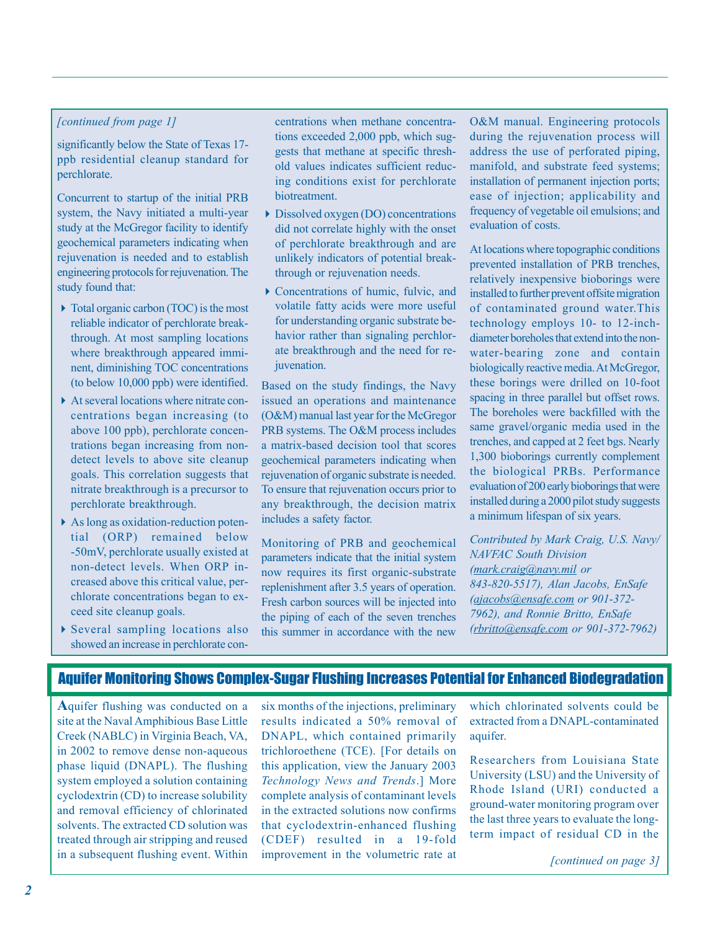#### *[continued from page 1]*

ppb residential cleanup standard for perchlorate. significantly below the State of Texas 17-

Concurrent to startup of the initial PRB system, the Navy initiated a multi-year study at the McGregor facility to identify geochemical parameters indicating when rejuvenation is needed and to establish engineering protocols for rejuvenation. The study found that:

- 4 Total organic carbon (TOC) is the most reliable indicator of perchlorate breakwhere breakthrough appeared imminent, diminishing TOC concentrations (to below 10,000 ppb) were identified. through. At most sampling locations
- ▶ At several locations where nitrate concentrations began increasing (to above 100 ppb), perchlorate concentrations began increasing from nondetect levels to above site cleanup goals. This correlation suggests that nitrate breakthrough is a precursor to perchlorate breakthrough.
- 4As long as oxidation-reduction potential (ORP) remained below non-detect levels. When ORP increased above this critical value, perchlorate concentrations began to exceed site cleanup goals. -50mV, perchlorate usually existed at
- $\triangleright$  Several sampling locations also showed an increase in perchlorate con-

centrations when methane concentrations exceeded 2,000 ppb, which suggests that methane at specific threshold values indicates sufficient reducing conditions exist for perchlorate biotreatment.

- 4Dissolved oxygen (DO) concentrations did not correlate highly with the onset of perchlorate breakthrough and are unlikely indicators of potential breakthrough or rejuvenation needs.
- $\blacktriangleright$  Concentrations of humic, fulvic, and volatile fatty acids were more useful for understanding organic substrate behavior rather than signaling perchlorate breakthrough and the need for rejuvenation.

Based on the study findings, the Navy issued an operations and maintenance (O&M) manual last year for the McGregor PRB systems. The O&M process includes a matrix-based decision tool that scores geochemical parameters indicating when rejuvenation of organic substrate is needed. any breakthrough, the decision matrix To ensure that rejuvenation occurs prior to includes a safety factor.

Monitoring of PRB and geochemical parameters indicate that the initial system now requires its first organic-substrate replenishment after 3.5 years of operation. Fresh carbon sources will be injected into the piping of each of the seven trenches this summer in accordance with the new

O&M manual. Engineering protocols during the rejuvenation process will address the use of perforated piping, manifold, and substrate feed systems; installation of permanent injection ports; ease of injection; applicability and evaluation of costs. frequency of vegetable oil emulsions; and

At locations where topographic conditions prevented installation of PRB trenches, relatively inexpensive bioborings were installed to further prevent offsite migration technology employs 10- to 12-inchdiameter boreholes that extend into the nonwater-bearing zone and contain these borings were drilled on 10-foot spacing in three parallel but offset rows. The boreholes were backfilled with the same gravel/organic media used in the 1,300 bioborings currently complement the biological PRBs. Performance evaluation of 200 early bioborings that were installed during a 2000 pilot study suggests a minimum lifespan of six years. of contaminated ground water.This biologically reactive media. At McGregor, trenches, and capped at 2 feet bgs. Nearly

*Contributed by Mark Craig, U.S. Navy/ (mark.craig@navy .mil or 843-820-5517), Alan Jacobs, EnSafe ( ajacobs@ensafe.com or 901-372- 7962), and Ronnie Britto, EnSafe ( rbritto@ensafe.com or 901-372-7962) NAVFAC South Division* 

### Aquifer Monitoring Shows Complex-Sugar Flushing Increases Potential for Enhanced Biodegradation

**A**quifer flushing was conducted on a in 2002 to remove dense non-aqueous phase liquid (DNAPL). The flushing system employed a solution containing cyclodextrin (CD) to increase solubility and removal efficiency of chlorinated solvents. The extracted CD solution was treated through air stripping and reused site at the Naval Amphibious Base Little Creek (NABLC) in Virginia Beach, VA, in a subsequent flushing event. Within

six months of the injections, preliminary results indicated a 50% removal of trichloroethene (TCE). [For details on this application, view the January 2003 Technology News and Trends.] More complete analysis of contaminant levels in the extracted solutions now confirms that cyclodextrin-enhanced flushing (CDEF) resulted in a 19-fold improvement in the volumetric rate at DNAPL, which contained primarily which chlorinated solvents could be extracted from a DNAPL-contaminated aquifer.

Researchers from Louisiana State ground-water monitoring program over the last three years to evaluate the longterm impact of residual CD in the University (LSU) and the University of Rhode Island (URI) conducted a

*[continued on page 3]*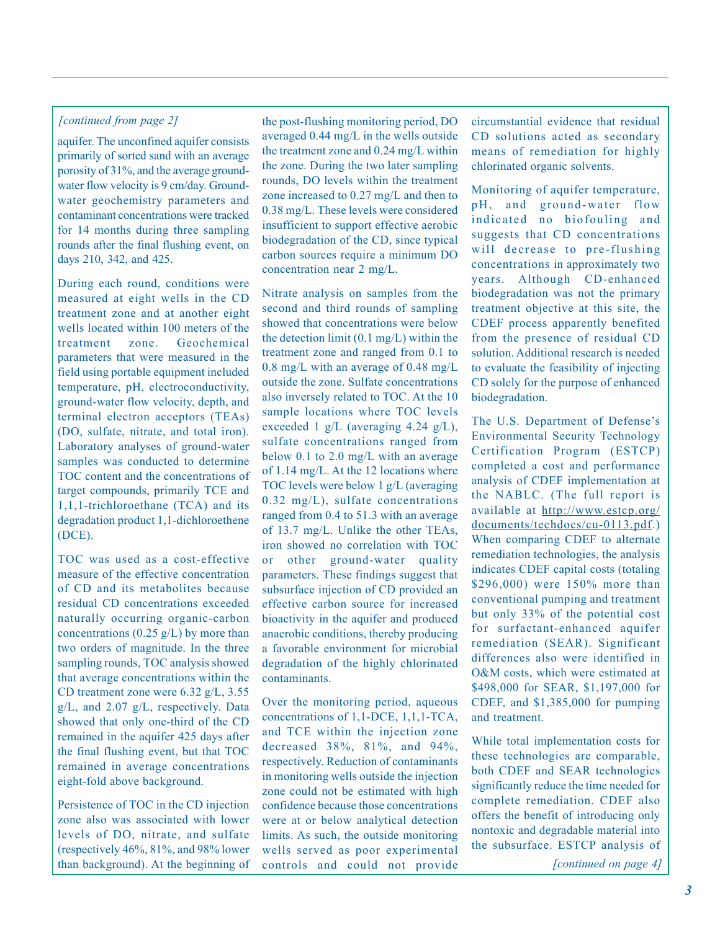#### *[continued from page 2]*

aquifer. The unconfined aquifer consists primarily of sorted sand with an average porosity of 31%, and the average groundwater flow velocity is 9 cm/day. Groundwater geochemistry parameters and contaminant concentrations were tracked for 14 months during three sampling rounds after the final flushing event, on days 210, 342, and 425.

During each round, conditions were measured at eight wells in the CD treatment zone and at another eight wells located within 100 meters of the treatment zone. Geochemical parameters that were measured in the field using portable equipment included temperature, pH, electroconductivity, ground-water flow velocity, depth, and terminal electron acceptors (TEAs) (DO, sulfate, nitrate, and total iron). Laboratory analyses of ground-water samples was conducted to determine TOC content and the concentrations of target compounds, primarily TCE and 1,1,1-trichloroethane (TCA) and its degradation product 1,1-dichloroethene (DCE).

TOC was used as a cost-effective measure of the effective concentration of CD and its metabolites because residual CD concentrations exceeded naturally occurring organic-carbon concentrations ( $0.25$  g/L) by more than two orders of magnitude. In the three sampling rounds, TOC analysis showed that average concentrations within the CD treatment zone were 6.32 g/L, 3.55 g/L, and 2.07 g/L, respectively. Data showed that only one-third of the CD remained in the aquifer 425 days after the final flushing event, but that TOC remained in average concentrations eight-fold above background.

Persistence of TOC in the CD injection zone also was associated with lower levels of DO, nitrate, and sulfate (respectively 46%, 81%, and 98% lower than background). At the beginning of the post-flushing monitoring period, DO averaged 0.44 mg/L in the wells outside the treatment zone and 0.24 mg/L within the zone. During the two later sampling rounds, DO levels within the treatment zone increased to 0.27 mg/L and then to 0.38 mg/L. These levels were considered insufficient to support effective aerobic biodegradation of the CD, since typical carbon sources require a minimum DO concentration near 2 mg/L.

Nitrate analysis on samples from the second and third rounds of sampling showed that concentrations were below the detection limit (0.1 mg/L) within the treatment zone and ranged from 0.1 to 0.8 mg/L with an average of 0.48 mg/L outside the zone. Sulfate concentrations also inversely related to TOC. At the 10 sample locations where TOC levels exceeded 1 g/L (averaging 4.24 g/L), sulfate concentrations ranged from below 0.1 to 2.0 mg/L with an average of 1.14 mg/L. At the 12 locations where TOC levels were below 1 g/L (averaging  $0.32 \text{ mg/L}$ , sulfate concentrations ranged from 0.4 to 51.3 with an average of 13.7 mg/L. Unlike the other TEAs, iron showed no correlation with TOC or other ground-water quality parameters. These findings suggest that subsurface injection of CD provided an effective carbon source for increased bioactivity in the aquifer and produced anaerobic conditions, thereby producing a favorable environment for microbial degradation of the highly chlorinated contaminants.

Over the monitoring period, aqueous concentrations of 1,1-DCE, 1,1,1-TCA, and TCE within the injection zone decreased 38%, 81%, and 94%, respectively. Reduction of contaminants in monitoring wells outside the injection zone could not be estimated with high confidence because those concentrations were at or below analytical detection limits. As such, the outside monitoring wells served as poor experimental controls and could not provide

circumstantial evidence that residual CD solutions acted as secondary means of remediation for highly chlorinated organic solvents.

Monitoring of aquifer temperature, pH, and ground-water flow indicated no biofouling and suggests that CD concentrations will decrease to pre-flushing concentrations in approximately two years. Although CD-enhanced biodegradation was not the primary treatment objective at this site, the CDEF process apparently benefited from the presence of residual CD solution. Additional research is needed to evaluate the feasibility of injecting CD solely for the purpose of enhanced biodegradation.

The U.S. Department of Defense's Environmental Security Technology Certification Program (ESTCP) completed a cost and performance analysis of CDEF implementation at the NABLC. (The full report is available at http://www.estcp.org/ documents/techdocs/cu-0113.pdf.) When comparing CDEF to alternate remediation technologies, the analysis indicates CDEF capital costs (totaling \$296,000) were 150% more than conventional pumping and treatment but only 33% of the potential cost for surfactant-enhanced aquifer remediation (SEAR). Significant differences also were identified in O&M costs, which were estimated at \$498,000 for SEAR, \$1,197,000 for CDEF, and \$1,385,000 for pumping and treatment.

While total implementation costs for these technologies are comparable, both CDEF and SEAR technologies significantly reduce the time needed for complete remediation. CDEF also offers the benefit of introducing only nontoxic and degradable material into the subsurface. ESTCP analysis of

*[continued on page 4]*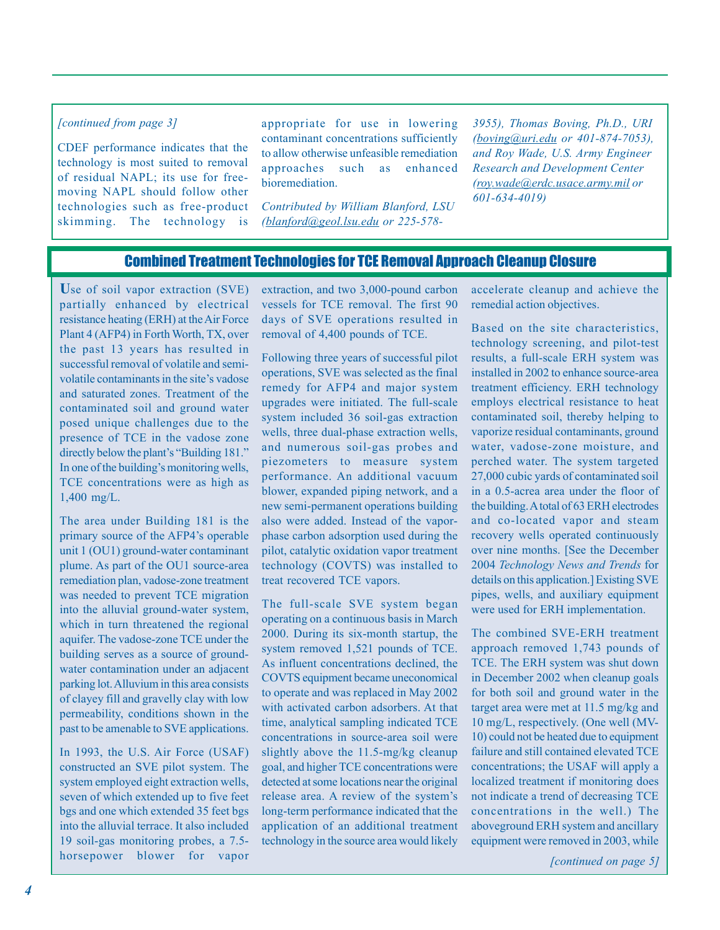#### *[continued from page 3]*

CDEF performance indicates that the technology is most suited to removal of residual NAPL; its use for freemoving NAPL should follow other technologies such as free-product skimming. The technology is appropriate for use in lowering contaminant concentrations sufficiently to allow otherwise unfeasible remediation approaches such as enhanced bioremediation.

*Contributed by William Blanford, LSU (blanford@geol.lsu.edu or 225-578-* *3955), Thomas Boving, Ph.D., URI (boving@uri.edu or 401-874-7053), and Roy Wade, U.S. Army Engineer Research and Development Center (roy.wade@erdc.usace.army.mil or 601-634-4019)* 

## Combined Treatment Technologies for TCE Removal Approach Cleanup Closure

**U**se of soil vapor extraction (SVE) partially enhanced by electrical resistance heating (ERH) at the Air Force Plant 4 (AFP4) in Forth Worth, TX, over the past 13 years has resulted in successful removal of volatile and semivolatile contaminants in the site's vadose and saturated zones. Treatment of the contaminated soil and ground water posed unique challenges due to the presence of TCE in the vadose zone directly below the plant's "Building 181." In one of the building's monitoring wells, TCE concentrations were as high as 1,400 mg/L.

The area under Building 181 is the primary source of the AFP4's operable unit 1 (OU1) ground-water contaminant plume. As part of the OU1 source-area remediation plan, vadose-zone treatment was needed to prevent TCE migration into the alluvial ground-water system, which in turn threatened the regional aquifer. The vadose-zone TCE under the building serves as a source of groundwater contamination under an adjacent parking lot. Alluvium in this area consists of clayey fill and gravelly clay with low permeability, conditions shown in the past to be amenable to SVE applications.

In 1993, the U.S. Air Force (USAF) constructed an SVE pilot system. The system employed eight extraction wells, seven of which extended up to five feet bgs and one which extended 35 feet bgs into the alluvial terrace. It also included 19 soil-gas monitoring probes, a 7.5 horsepower blower for vapor extraction, and two 3,000-pound carbon vessels for TCE removal. The first 90 days of SVE operations resulted in removal of 4,400 pounds of TCE.

Following three years of successful pilot operations, SVE was selected as the final remedy for AFP4 and major system upgrades were initiated. The full-scale system included 36 soil-gas extraction wells, three dual-phase extraction wells, and numerous soil-gas probes and piezometers to measure system performance. An additional vacuum blower, expanded piping network, and a new semi-permanent operations building also were added. Instead of the vaporphase carbon adsorption used during the pilot, catalytic oxidation vapor treatment technology (COVTS) was installed to treat recovered TCE vapors.

The full-scale SVE system began operating on a continuous basis in March 2000. During its six-month startup, the system removed 1,521 pounds of TCE. As influent concentrations declined, the COVTS equipment became uneconomical to operate and was replaced in May 2002 with activated carbon adsorbers. At that time, analytical sampling indicated TCE concentrations in source-area soil were slightly above the 11.5-mg/kg cleanup goal, and higher TCE concentrations were detected at some locations near the original release area. A review of the system's long-term performance indicated that the application of an additional treatment technology in the source area would likely

accelerate cleanup and achieve the remedial action objectives.

Based on the site characteristics, technology screening, and pilot-test results, a full-scale ERH system was installed in 2002 to enhance source-area treatment efficiency. ERH technology employs electrical resistance to heat contaminated soil, thereby helping to vaporize residual contaminants, ground water, vadose-zone moisture, and perched water. The system targeted 27,000 cubic yards of contaminated soil in a 0.5-acrea area under the floor of the building. A total of 63 ERH electrodes and co-located vapor and steam recovery wells operated continuously over nine months. [See the December 2004 *Technology News and Trends* for details on this application.] Existing SVE pipes, wells, and auxiliary equipment were used for ERH implementation.

The combined SVE-ERH treatment approach removed 1,743 pounds of TCE. The ERH system was shut down in December 2002 when cleanup goals for both soil and ground water in the target area were met at 11.5 mg/kg and 10 mg/L, respectively. (One well (MV-10) could not be heated due to equipment failure and still contained elevated TCE concentrations; the USAF will apply a localized treatment if monitoring does not indicate a trend of decreasing TCE concentrations in the well.) The aboveground ERH system and ancillary equipment were removed in 2003, while

*[continued on page 5]*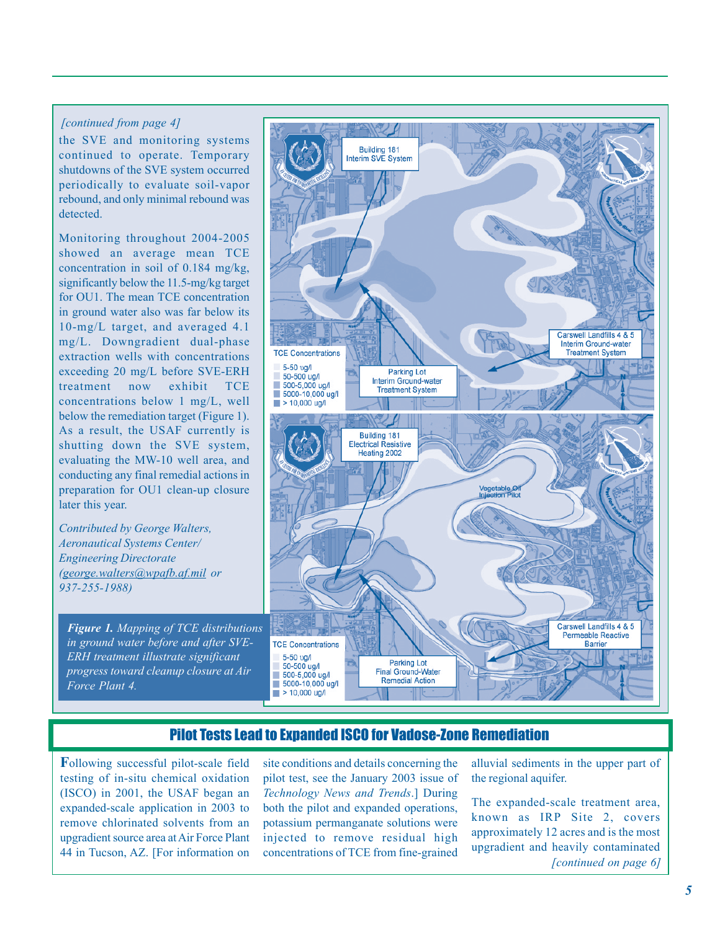#### *[continued from page 4]*

the SVE and monitoring systems continued to operate. Temporary shutdowns of the SVE system occurred periodically to evaluate soil-vapor rebound, and only minimal rebound was detected.

Monitoring throughout 2004-2005 showed an average mean TCE concentration in soil of 0.184 mg/kg, for OU1. The mean TCE concentration in ground water also was far below its 10-mg/L target, and averaged 4.1 mg/L. Downgradient dual-phase extraction wells with concentrations exceeding 20 mg/L before SVE-ERH treatment now exhibit TCE concentrations below 1 mg/L, well below the remediation target (Figure 1). As a result, the USAF currently is shutting down the SVE system, conducting any final remedial actions in preparation for OU1 clean-up closure significantly below the 11.5-mg/kg target evaluating the MW-10 well area, and later this year.

*(geor ge.walters@wpafb.af.mil or 937-255-1988) Contributed by George Walters, Aeronautical Systems Center/ Engineering Directorate* 

*Figure 1. Mapping of TCE distributions in ground water before and after SVE-ERH treatment illustrate significant progress toward cleanup closure at Air Force Plant 4.* 



### Pilot Tests Lead to Expanded ISCO for Vadose-Zone Remediation

**F**ollowing successful pilot-scale field testing of in-situ chemical oxidation (ISCO) in 2001, the USAF began an expanded-scale application in 2003 to remove chlorinated solvents from an upgradient source area at Air Force Plant 44 in Tucson, AZ. [For information on

site conditions and details concerning the pilot test, see the January 2003 issue of .] During *Technology News and Trends* both the pilot and expanded operations, potassium permanganate solutions were injected to remove residual high concentrations of TCE from fine-grained

alluvial sediments in the upper part of the regional aquifer.

The expanded-scale treatment area, known as IRP Site 2, covers approximately 12 acres and is the most upgradient and heavily contaminated *[continued on page 6]*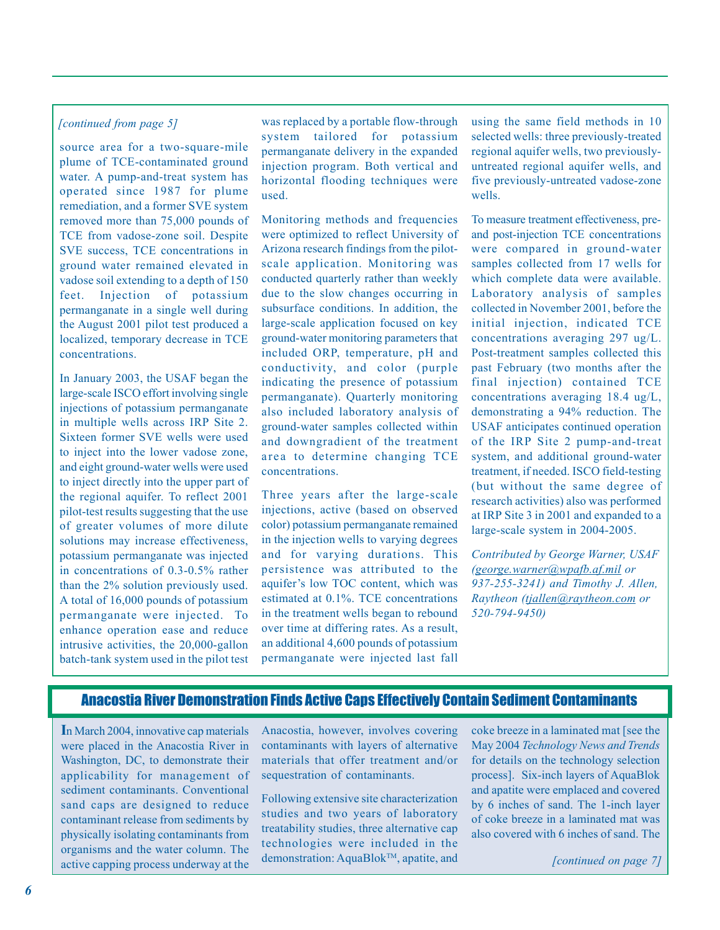#### *[continued from page 5]*

source area for a two-square-mile plume of TCE-contaminated ground water. A pump-and-treat system has operated since 1987 for plume remediation, and a former SVE system removed more than 75,000 pounds of TCE from vadose-zone soil. Despite SVE success, TCE concentrations in ground water remained elevated in vadose soil extending to a depth of 150 feet. Injection of potassium permanganate in a single well during the August 2001 pilot test produced a localized, temporary decrease in TCE concentrations.

In January 2003, the USAF began the large-scale ISCO effort involving single injections of potassium permanganate in multiple wells across IRP Site 2. Sixteen former SVE wells were used to inject into the lower vadose zone, and eight ground-water wells were used to inject directly into the upper part of the regional aquifer. To reflect 2001 pilot-test results suggesting that the use of greater volumes of more dilute solutions may increase effectiveness, potassium permanganate was injected in concentrations of 0.3-0.5% rather than the 2% solution previously used. A total of 16,000 pounds of potassium permanganate were injected. To enhance operation ease and reduce intrusive activities, the 20,000-gallon batch-tank system used in the pilot test was replaced by a portable flow-through system tailored for potassium permanganate delivery in the expanded injection program. Both vertical and horizontal flooding techniques were used.

Monitoring methods and frequencies were optimized to reflect University of Arizona research findings from the pilotscale application. Monitoring was conducted quarterly rather than weekly due to the slow changes occurring in subsurface conditions. In addition, the large-scale application focused on key ground-water monitoring parameters that included ORP, temperature, pH and conductivity, and color (purple indicating the presence of potassium permanganate). Quarterly monitoring also included laboratory analysis of ground-water samples collected within and downgradient of the treatment area to determine changing TCE concentrations.

Three years after the large-scale injections, active (based on observed color) potassium permanganate remained in the injection wells to varying degrees and for varying durations. This persistence was attributed to the aquifer's low TOC content, which was estimated at 0.1%. TCE concentrations in the treatment wells began to rebound over time at differing rates. As a result, an additional 4,600 pounds of potassium permanganate were injected last fall

using the same field methods in 10 selected wells: three previously-treated regional aquifer wells, two previouslyuntreated regional aquifer wells, and five previously-untreated vadose-zone wells.

To measure treatment effectiveness, preand post-injection TCE concentrations were compared in ground-water samples collected from 17 wells for which complete data were available. Laboratory analysis of samples collected in November 2001, before the initial injection, indicated TCE concentrations averaging 297 ug/L. Post-treatment samples collected this past February (two months after the final injection) contained TCE concentrations averaging 18.4 ug/L, demonstrating a 94% reduction. The USAF anticipates continued operation of the IRP Site 2 pump-and-treat system, and additional ground-water treatment, if needed. ISCO field-testing (but without the same degree of research activities) also was performed at IRP Site 3 in 2001 and expanded to a large-scale system in 2004-2005.

*Contributed by George Warner, USAF (george.warner@wpafb.af.mil or 937-255-3241) and Timothy J. Allen, Raytheon (tjallen@raytheon.com or 520-794-9450)* 

### Anacostia River Demonstration Finds Active Caps Effectively Contain Sediment Contaminants

**I**n March 2004, innovative cap materials were placed in the Anacostia River in Washington, DC, to demonstrate their applicability for management of sediment contaminants. Conventional sand caps are designed to reduce contaminant release from sediments by physically isolating contaminants from organisms and the water column. The active capping process underway at the

Anacostia, however, involves covering contaminants with layers of alternative materials that offer treatment and/or sequestration of contaminants.

Following extensive site characterization studies and two years of laboratory treatability studies, three alternative cap technologies were included in the demonstration: AquaBlok™, apatite, and

coke breeze in a laminated mat [see the May 2004 *Technology News and Trends*  for details on the technology selection process]. Six-inch layers of AquaBlok and apatite were emplaced and covered by 6 inches of sand. The 1-inch layer of coke breeze in a laminated mat was also covered with 6 inches of sand. The

*[continued on page 7]*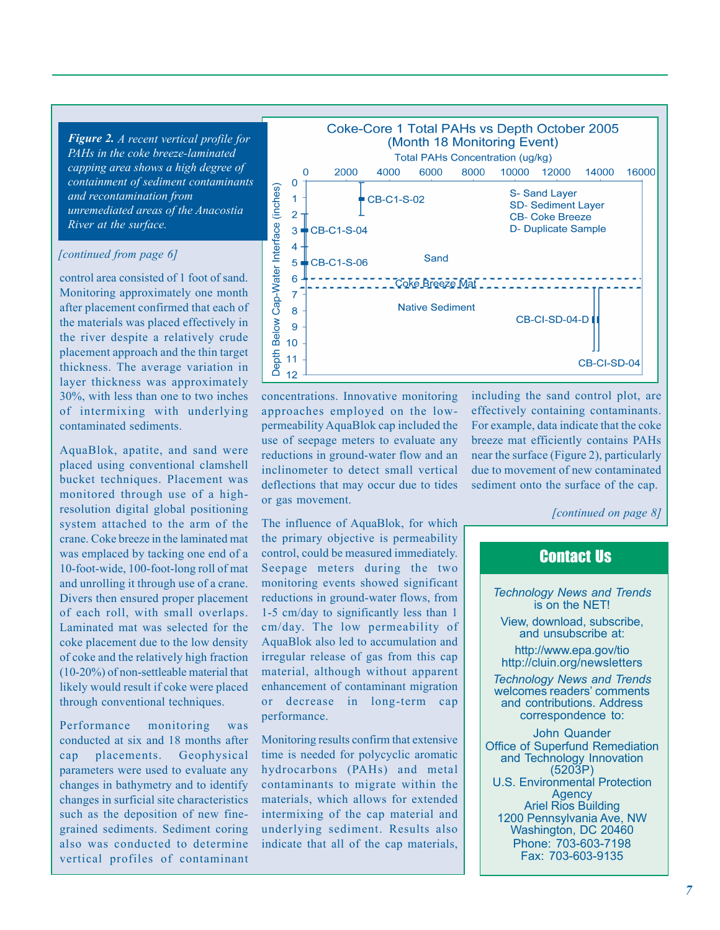*Figure 2. A recent vertical profile for containment of sediment contaminants River at the surface. PAHs in the coke breeze-laminated capping area shows a high degree of and recontamination from unremediated areas of the Anacostia* 

#### *[continued from page 6]*

control area consisted of 1 foot of sand. Monitoring approximately one month after placement confirmed that each of the materials was placed effectively in the river despite a relatively crude placement approach and the thin target thickness. The average variation in layer thickness was approximately 30%, with less than one to two inches of intermixing with underlying contaminated sediments.

AquaBlok, apatite, and sand were placed using conventional clamshell bucket techniques. Placement was monitored through use of a highresolution digital global positioning system attached to the arm of the was emplaced by tacking one end of a 10-foot-wide, 100-foot-long roll of mat and unrolling it through use of a crane. Divers then ensured proper placement of each roll, with small overlaps. Laminated mat was selected for the coke placement due to the low density of coke and the relatively high fraction (10-20%) of non-settleable material that likely would result if coke were placed through conventional techniques. crane. Coke breeze in the laminated mat

Performance monitoring was conducted at six and 18 months after cap placements. Geophysical parameters were used to evaluate any changes in bathymetry and to identify changes in surficial site characteristics such as the deposition of new finegrained sediments. Sediment coring also was conducted to determine vertical profiles of contaminant



concentrations. Innovative monitoring approaches employed on the lowuse of seepage meters to evaluate any reductions in ground-water flow and an inclinometer to detect small vertical deflections that may occur due to tides or gas movement. permeability AquaBlok cap included the

the primary objective is permeability Seepage meters during the two monitoring events showed significant reductions in ground-water flows, from 1-5 cm/day to significantly less than 1 cm/day. The low permeability of AquaBlok also led to accumulation and irregular release of gas from this cap material, although without apparent enhancement of contaminant migration or decrease in long-term cap performance. The influence of AquaBlok, for which control, could be measured immediately.

Monitoring results confirm that extensive time is needed for polycyclic aromatic contaminants to migrate within the materials, which allows for extended intermixing of the cap material and indicate that all of the cap materials, hydrocarbons (PAHs) and metal underlying sediment. Results also including the sand control plot, are effectively containing contaminants. For example, data indicate that the coke near the surface (Figure 2), particularly due to movement of new contaminated sediment onto the surface of the cap. breeze mat efficiently contains PAHs

*[continued on page 8]* 

# Contact Us

is on the NET! *Technology News and Trends* 

and unsubscribe at: View, download, subscribe,

http://www.epa.gov/tio http://cluin.org/newsletters

welcomes readers' comments correspondence to: *Technology News and Trends*  and contributions. Address

John Quander Office of Superfund Remediation (5203P) U.S. Environmental Protection Agency Ariel Rios Building Fax: 703-603-9135 and Technology Innovation 1200 Pennsylvania Ave, NW Washington, DC 20460 Phone: 703-603-7198